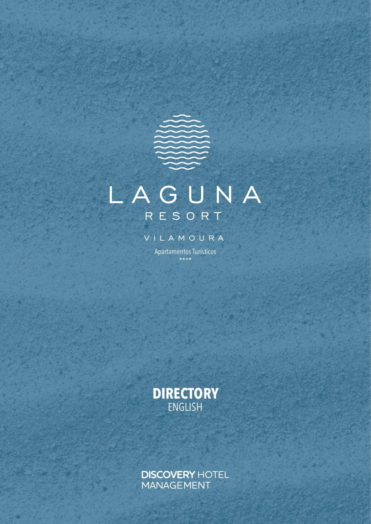# LAGUNA RESORT

VILAMOURA

Apartamentos Turísticos \*\*\*\*



**DISCOVERY HOTEL** MANAGEMENT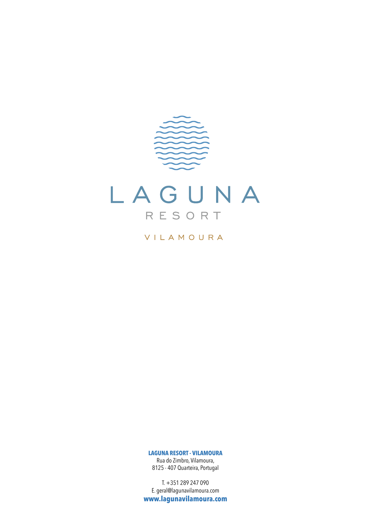

VILAMOURA

**LAGUNA RESORT - VILAMOURA**

Rua do Zimbro, Vilamoura, 8125 - 407 Quarteira, Portugal

T. +351 289 247 090 E. geral@lagunavilamoura.com **www.lagunavilamoura.com**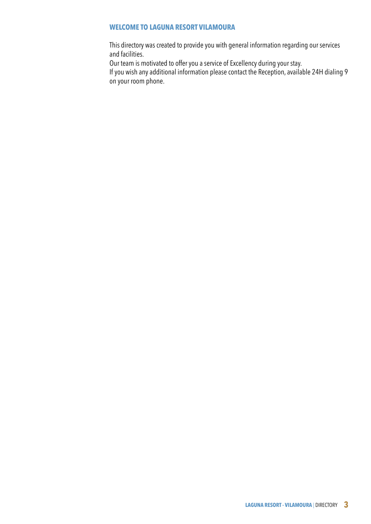# **WELCOME TO LAGUNA RESORT VILAMOURA**

This directory was created to provide you with general information regarding our services and facilities.

Our team is motivated to offer you a service of Excellency during your stay.

If you wish any additional information please contact the Reception, available 24H dialing 9 on your room phone.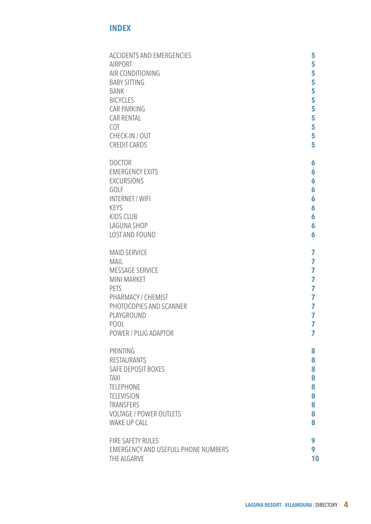# **INDEX**

| <b>ACCIDENTS AND EMERGENCIES</b>           | 5              |
|--------------------------------------------|----------------|
| <b>AIRPORT</b>                             | 5              |
| AIR CONDITIONING                           | 5              |
| <b>BABY SITTING</b>                        | 5              |
| <b>BANK</b>                                | 5              |
| <b>BICYCLES</b>                            | 5              |
| <b>CAR PARKING</b>                         | 5              |
| <b>CAR RENTAL</b>                          | 5              |
| <b>COT</b>                                 | 5              |
| CHECK-IN / OUT                             | 5              |
| <b>CREDIT CARDS</b>                        | 5              |
| <b>DOCTOR</b>                              | 6              |
| <b>EMERGENCY EXITS</b>                     | 6              |
| <b>EXCURSIONS</b>                          | 6              |
| GOLF                                       | 6              |
| <b>INTERNET / WIFI</b>                     | 6              |
| <b>KEYS</b>                                | 6              |
| <b>KIDS CLUB</b>                           | 6              |
| LAGUNA SHOP                                | 6              |
| LOST AND FOUND                             | 6              |
| <b>MAID SERVICE</b>                        | 7              |
| <b>MAIL</b>                                | 7              |
| <b>MESSAGE SERVICE</b>                     | 7              |
| <b>MINI MARKET</b>                         | $\overline{I}$ |
| <b>PETS</b>                                | $\overline{7}$ |
| PHARMACY / CHEMIST                         | 7              |
| PHOTOCOPIES AND SCANNER                    | $\overline{7}$ |
| PLAYGROUND                                 | 7              |
| POOL                                       | 7              |
| POWER / PLUG ADAPTOR                       | 7              |
| PRINTING                                   | 8              |
| <b>RESTAURANTS</b>                         | 8              |
| <b>SAFE DEPOSIT BOXES</b>                  | 8              |
| <b>TAXI</b>                                | 8              |
| <b>TELEPHONE</b>                           | 8              |
| <b>TELEVISION</b>                          | 8              |
| <b>TRANSFERS</b>                           | 8              |
| <b>VOLTAGE / POWER OUTLETS</b>             | 8              |
| <b>WAKE UP CALL</b>                        | 8              |
| <b>FIRE SAFETY RULES</b>                   | 9              |
| <b>EMERGENCY AND USEFULL PHONE NUMBERS</b> | 9              |
| THE ALGARVE                                | 10             |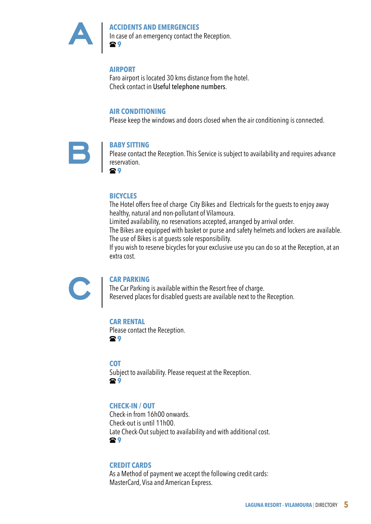

## **ACCIDENTS AND EMERGENCIES**  In case of an emergency contact the Reception.  **9**

# **AIRPORT**

Faro airport is located 30 kms distance from the hotel. Check contact in Useful telephone numbers.

## **AIR CONDITIONING**

Please keep the windows and doors closed when the air conditioning is connected.



## **BABY SITTING**

Please contact the Reception. This Service is subject to availability and requires advance reservation.

 **9**

# **BICYCLES**

The Hotel offers free of charge City Bikes and Electricals for the guests to enjoy away healthy, natural and non-pollutant of Vilamoura.

Limited availability, no reservations accepted, arranged by arrival order.

The Bikes are equipped with basket or purse and safety helmets and lockers are available. The use of Bikes is at guests sole responsibility.

If you wish to reserve bicycles for your exclusive use you can do so at the Reception, at an extra cost.



## **CAR PARKING**

The Car Parking is available within the Resort free of charge. Reserved places for disabled guests are available next to the Reception.

# **CAR RENTAL**

Please contact the Reception.  **9**

## **COT**

Subject to availability. Please request at the Reception.  **9**

# **CHECK-IN / OUT**

Check-in from 16h00 onwards. Check-out is until 11h00. Late Check-Out subject to availability and with additional cost.  **9**

# **CREDIT CARDS**

As a Method of payment we accept the following credit cards: MasterCard, Visa and American Express.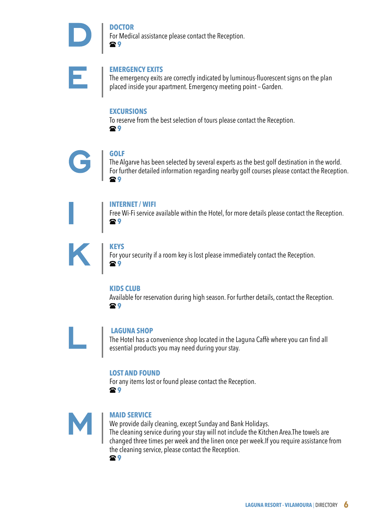# **DOCTOR**

For Medical assistance please contact the Reception.  **9**



## **EMERGENCY EXITS**

The emergency exits are correctly indicated by luminous-fluorescent signs on the plan placed inside your apartment. Emergency meeting point – Garden.

## **EXCURSIONS**

To reserve from the best selection of tours please contact the Reception.  **9**



# **GOLF**

The Algarve has been selected by several experts as the best golf destination in the world. For further detailed information regarding nearby golf courses please contact the Reception.  **9**



## **INTERNET / WIFI**

Free Wi-Fi service available within the Hotel, for more details please contact the Reception.  **9**



## **KEYS**

For your security if a room key is lost please immediately contact the Reception.  **9**

## **KIDS CLUB**

Available for reservation during high season. For further details, contact the Reception.  **9**



#### **LAGUNA SHOP**

The Hotel has a convenience shop located in the Laguna Caffè where you can find all essential products you may need during your stay.

## **LOST AND FOUND**

For any items lost or found please contact the Reception.  **9**



# **MAID SERVICE**

We provide daily cleaning, except Sunday and Bank Holidays. The cleaning service during your stay will not include the Kitchen Area.The towels are changed three times per week and the linen once per week.If you require assistance from the cleaning service, please contact the Reception.  **9**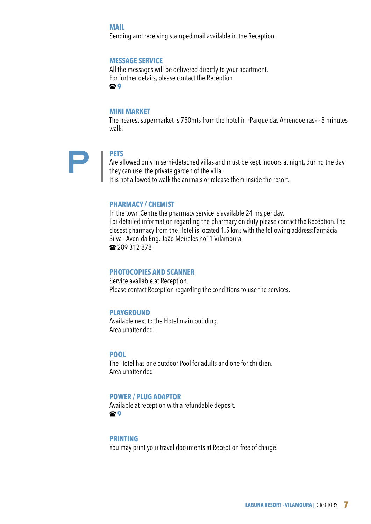#### **MAIL**

Sending and receiving stamped mail available in the Reception.

#### **MESSAGE SERVICE**

All the messages will be delivered directly to your apartment. For further details, please contact the Reception.  **9**

#### **MINI MARKET**

The nearest supermarket is 750mts from the hotel in «Parque das Amendoeiras» - 8 minutes walk.

#### **PETS**

Are allowed only in semi-detached villas and must be kept indoors at night, during the day they can use the private garden of the villa.

It is not allowed to walk the animals or release them inside the resort.

## **PHARMACY / CHEMIST**

In the town Centre the pharmacy service is available 24 hrs per day. For detailed information regarding the pharmacy on duty please contact the Reception. The closest pharmacy from the Hotel is located 1.5 kms with the following address:Farmácia Silva - Avenida Eng. João Meireles no11 Vilamoura 289 312 878

## **PHOTOCOPIES AND SCANNER**

Service available at Reception. Please contact Reception regarding the conditions to use the services.

## **PLAYGROUND**

Available next to the Hotel main building. Area unattended.

## **POOL**

The Hotel has one outdoor Pool for adults and one for children. Area unattended.

#### **POWER / PLUG ADAPTOR**

Available at reception with a refundable deposit.  **9**

#### **PRINTING**

You may print your travel documents at Reception free of charge.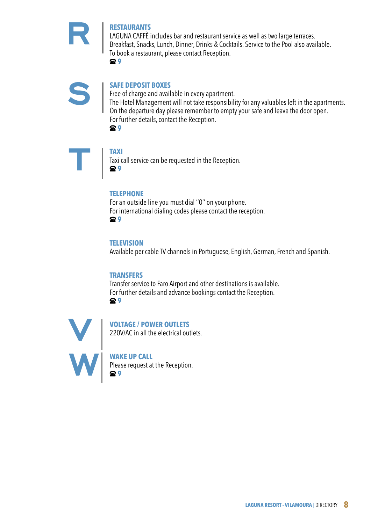# **RESTAURANTS**

LAGUNA CAFFÈ includes bar and restaurant service as well as two large terraces. Breakfast, Snacks, Lunch, Dinner, Drinks & Cocktails. Service to the Pool also available. To book a restaurant, please contact Reception.

 **9**



# **SAFE DEPOSIT BOXES**

Free of charge and available in every apartment. The Hotel Management will not take responsibility for any valuables left in the apartments. On the departure day please remember to empty your safe and leave the door open. For further details, contact the Reception.  **9**



# **TAXI**

Taxi call service can be requested in the Reception.  **9**

# **TELEPHONE**

For an outside line you must dial ''0'' on your phone. For international dialing codes please contact the reception.  **9**

# **TELEVISION**

Available per cable TV channels in Portuguese, English, German, French and Spanish.

# **TRANSFERS**

Transfer service to Faro Airport and other destinations is available. For further details and advance bookings contact the Reception.  **9**



# **VOLTAGE / POWER OUTLETS** 220V/AC in all the electrical outlets.

**WAKE UP CALL** Please request at the Reception.  **9**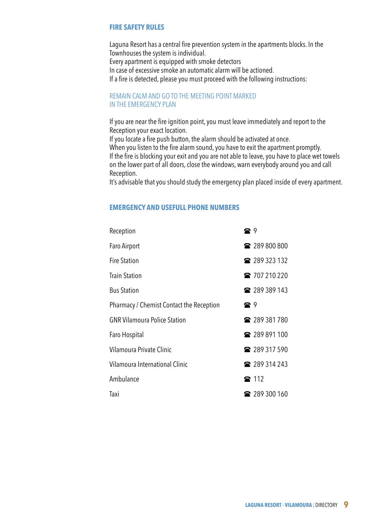# **FIRE SAFETY RULES**

Laguna Resort has a central fire prevention system in the apartments blocks. In the Townhouses the system is individual. Every apartment is equipped with smoke detectors In case of excessive smoke an automatic alarm will be actioned. If a fire is detected, please you must proceed with the following instructions:

REMAIN CALM AND GO TO THE MEETING POINT MARKED IN THE EMERGENCY PLAN

If you are near the fire ignition point, you must leave immediately and report to the Reception your exact location.

If you locate a fire push button, the alarm should be activated at once. When you listen to the fire alarm sound, you have to exit the apartment promptly. If the fire is blocking your exit and you are not able to leave, you have to place wet towels

on the lower part of all doors, close the windows, warn everybody around you and call Reception.

It's advisable that you should study the emergency plan placed inside of every apartment.

## **EMERGENCY AND USEFULL PHONE NUMBERS**

| Reception                                | e 9        |                      |
|------------------------------------------|------------|----------------------|
| Faro Airport                             |            | ■ 289 800 800        |
| <b>Fire Station</b>                      |            | <b>a</b> 289 323 132 |
| <b>Train Station</b>                     |            | ☎ 707 210 220        |
| <b>Bus Station</b>                       |            | <b>a</b> 289 389 143 |
| Pharmacy / Chemist Contact the Reception | <b>a</b> 9 |                      |
| <b>GNR Vilamoura Police Station</b>      |            | <b>■</b> 289 381 780 |
| Faro Hospital                            |            | ■ 289 891 100        |
| Vilamoura Private Clinic                 |            | <b>■</b> 289 317 590 |
| Vilamoura International Clinic           |            | <b>a</b> 289 314 243 |
| Ambulance                                |            | <b>雷 112</b>         |
| Taxi                                     |            | ■ 289 300 160        |